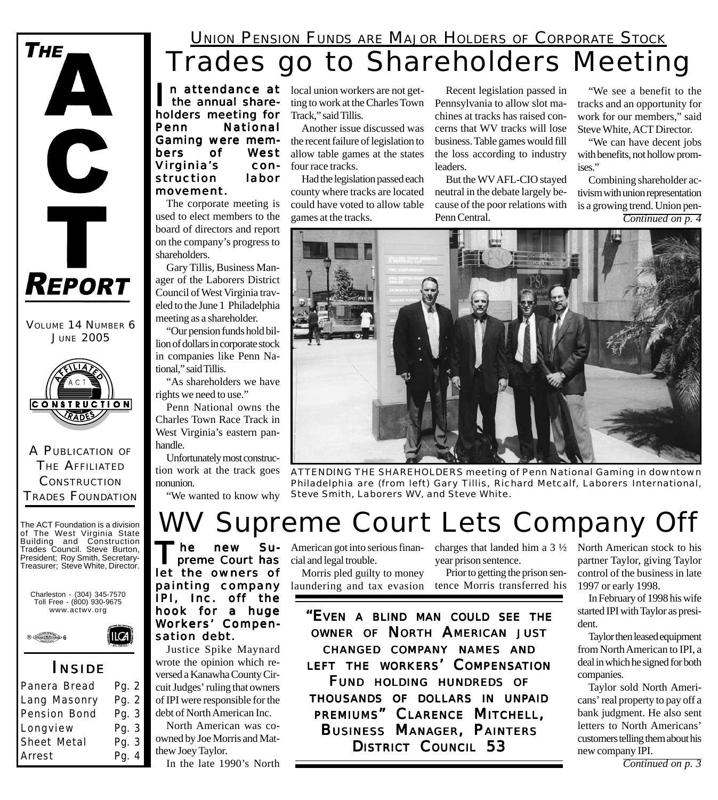

VOLUME 14 NUMBER 6 JUNE 2005



A PUBLICATION OF THE AFFILIATED **CONSTRUCTION** TRADES FOUNDATION





ILCA



### *I NSIDE*

| Panera Bread        | <b>Pg. 2</b> |
|---------------------|--------------|
| Lang Masonry        | Pg. 2        |
| <b>Pension Bond</b> | Pg. 3        |
| Longview            | Pg. 3        |
| <b>Sheet Metal</b>  | Pg. 3        |
| <b>Arrest</b>       | Pg. 4        |
|                     |              |

## Trades go to Shareholders Meeting UNION PENSION FUNDS ARE MAJOR HOLDERS OF CORPORATE STOCK

In attendance at local union workers are not get-<br>the annual share-<br>halders measure for  $\overline{m}$  to work at the Charles Town the annual shareholders meeting for Penn National Gaming were members of West Virginia's construction labor movement.

The corporate meeting is used to elect members to the board of directors and report on the company's progress to shareholders.

Gary Tillis, Business Manager of the Laborers District Council of West Virginia traveled to the June 1 Philadelphia meeting as a shareholder.

"Our pension funds hold billion of dollars in corporate stock in companies like Penn National," said Tillis.

"As shareholders we have rights we need to use."

Penn National owns the Charles Town Race Track in West Virginia's eastern panhandle.

Unfortunately most construction work at the track goes nonunion.

"We wanted to know why

ting to work at the Charles Town Pennsylvania to allow slot ma-Track," said Tillis.

Another issue discussed was the recent failure of legislation to allow table games at the states four race tracks.

Had the legislation passed each county where tracks are located could have voted to allow table games at the tracks.

Recent legislation passed in chines at tracks has raised concerns that WV tracks will lose business. Table games would fill the loss according to industry leaders.

But the WV AFL-CIO stayed neutral in the debate largely because of the poor relations with Penn Central.

"We see a benefit to the tracks and an opportunity for work for our members," said Steve White, ACT Director.

"We can have decent jobs with benefits, not hollow promises."

Combining shareholder activism with union representation is a growing trend. Union pen-*Continued on p. 4*



*ATTENDING THE SHAREHOLDERS meeting of Penn National Gaming in downtown Philadelphia are (from left) Gary Tillis, Richard Metcalf, Laborers International, Steve Smith, Laborers WV, and Steve White.*

# **Supreme Court Lets Company Off**

The new Su-<br>
preme Court has let the owners of painting company IPI, Inc. off the hook for a huge Workers' Compensation debt.

Justice Spike Maynard wrote the opinion which reversed a Kanawha County Circuit Judges' ruling that owners of IPI were responsible for the debt of North American Inc.

North American was coowned by Joe Morris and Matthew Joey Taylor.

In the late 1990's North

American got into serious finan- charges that landed him a  $3\frac{1}{2}$  North American stock to his cial and legal trouble.

Morris pled guilty to money laundering and tax evasion

year prison sentence.

Prior to getting the prison sentence Morris transferred his

*"EVEN <sup>A</sup> BLIND MAN COULD SEE THE OWNER OF NORTH AMERICAN JUST CHANGED COMPANY NAMES AND LEFT THE WORKERS' COMPENSATION FUND HOLDING HUNDREDS OF THOUSANDS OF DOLLARS IN UNPAID PREMIUMS" CLARENCE MITCHELL, BUSINESS MANAGER, PAINTERS DISTRICT COUNCIL 53*

partner Taylor, giving Taylor control of the business in late 1997 or early 1998.

In February of 1998 his wife started IPI with Taylor as president.

Taylor then leased equipment from North American to IPI, a deal in which he signed for both companies.

Taylor sold North Americans' real property to pay off a bank judgment. He also sent letters to North Americans' customers telling them about his new company IPI.

*Continued on p. 3*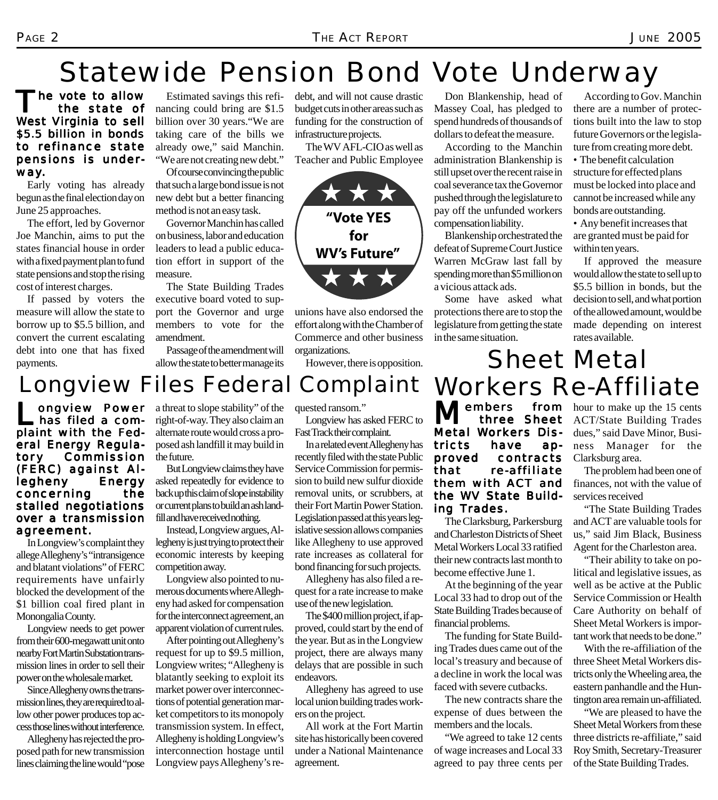## Statewide Pension Bond Vote Underway

The vote to allow the state of West Virginia to sell \$5.5 billion in bonds to refinance state pensions is underway.

Early voting has already begun as the final election day on June 25 approaches.

The effort, led by Governor Joe Manchin, aims to put the states financial house in order with a fixed payment plan to fund state pensions and stop the rising cost of interest charges.

If passed by voters the measure will allow the state to borrow up to \$5.5 billion, and convert the current escalating debt into one that has fixed payments.

Estimated savings this refinancing could bring are \$1.5 billion over 30 years."We are taking care of the bills we already owe," said Manchin. "We are not creating new debt."

Of course convincing the public that such a large bond issue is not new debt but a better financing method is not an easy task.

Governor Manchin has called on business, labor and education leaders to lead a public education effort in support of the measure.

The State Building Trades executive board voted to support the Governor and urge members to vote for the amendment.

Passage of the amendment will allow the state to better manage its

debt, and will not cause drastic budget cuts in other areas such as funding for the construction of infrastructure projects.

The WV AFL-CIO as well as Teacher and Public Employee



unions have also endorsed the effort along with the Chamber of Commerce and other business organizations.

However, there is opposition.

Don Blankenship, head of Massey Coal, has pledged to spend hundreds of thousands of dollars to defeat the measure.

According to the Manchin administration Blankenship is still upset over the recent raise in coal severance tax the Governor pushed through the legislature to pay off the unfunded workers compensation liability.

Blankenship orchestrated the defeat of Supreme Court Justice Warren McGraw last fall by spending more than \$5 million on a vicious attack ads.

Some have asked what protections there are to stop the legislature from getting the state in the same situation.

Sheet Metal

According to Gov. Manchin there are a number of protections built into the law to stop future Governors or the legislature from creating more debt.

• The benefit calculation structure for effected plans must be locked into place and cannot be increased while any bonds are outstanding.

• Any benefit increases that are granted must be paid for within ten years.

If approved the measure would allow the state to sell up to \$5.5 billion in bonds, but the decision to sell, and what portion of the allowed amount, would be made depending on interest rates available.

### Longview Files Federal Complaint Workers Re-Affiliate

**Longview Power**<br>has filed a complaint with the Federal Energy Regulatory Commission (FERC) against Allegheny Energy concerning the stalled negotiations over a transmission agreement.

In Longview's complaint they allege Allegheny's "intransigence and blatant violations" of FERC requirements have unfairly blocked the development of the \$1 billion coal fired plant in Monongalia County.

Longview needs to get power from their 600-megawatt unit onto nearby Fort Martin Substation transmission lines in order to sell their power on the wholesale market.

Since Allegheny owns the transmission lines, they are required to allow other power produces top access those lines without interference.

Allegheny has rejected the proposed path for new transmission lines claiming the line would "pose a threat to slope stability" of the right-of-way. They also claim an alternate route would cross a proposed ash landfill it may build in the future.

But Longview claims they have asked repeatedly for evidence to back up this claim of slope instability or current plans to build an ash landfill and have received nothing.

Instead, Longview argues, Allegheny is just trying to protect their economic interests by keeping competition away.

Longview also pointed to numerous documents where Allegheny had asked for compensation for the interconnect agreement, an apparent violation of current rules.

After pointing out Allegheny's request for up to \$9.5 million, Longview writes; "Allegheny is blatantly seeking to exploit its market power over interconnections of potential generation market competitors to its monopoly transmission system. In effect, Allegheny is holding Longview's interconnection hostage until Longview pays Allegheny's requested ransom."

Longview has asked FERC to Fast Track their complaint.

In a related event Allegheny has recently filed with the state Public Service Commission for permission to build new sulfur dioxide removal units, or scrubbers, at their Fort Martin Power Station. Legislation passed at this years legislative session allows companies like Allegheny to use approved rate increases as collateral for bond financing for such projects.

Allegheny has also filed a request for a rate increase to make use of the new legislation.

The \$400 million project, if approved, could start by the end of the year. But as in the Longview project, there are always many delays that are possible in such endeavors.

Allegheny has agreed to use local union building trades workers on the project.

All work at the Fort Martin site has historically been covered under a National Maintenance agreement.

**Members from<br>Metal Western Dig** Metal Workers Districts have approved contracts that re-affiliate them with ACT and the WV State Building Trades.

The Clarksburg, Parkersburg and Charleston Districts of Sheet Metal Workers Local 33 ratified their new contracts last month to become effective June 1.

At the beginning of the year Local 33 had to drop out of the State Building Trades because of financial problems.

The funding for State Building Trades dues came out of the local's treasury and because of a decline in work the local was faced with severe cutbacks.

The new contracts share the expense of dues between the members and the locals.

"We agreed to take 12 cents of wage increases and Local 33 agreed to pay three cents per hour to make up the 15 cents ACT/State Building Trades dues," said Dave Minor, Business Manager for the Clarksburg area.

The problem had been one of finances, not with the value of services received

"The State Building Trades and ACT are valuable tools for us," said Jim Black, Business Agent for the Charleston area.

"Their ability to take on political and legislative issues, as well as be active at the Public Service Commission or Health Care Authority on behalf of Sheet Metal Workers is important work that needs to be done."

With the re-affiliation of the three Sheet Metal Workers districts only the Wheeling area, the eastern panhandle and the Huntington area remain un-affiliated.

"We are pleased to have the Sheet Metal Workers from these three districts re-affiliate," said Roy Smith, Secretary-Treasurer of the State Building Trades.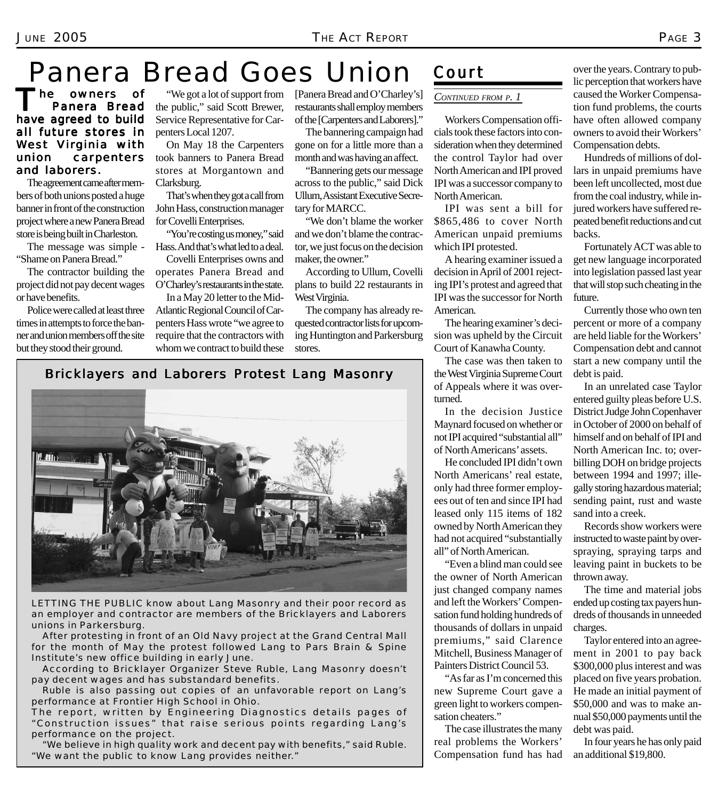# Panera Bread Goes Union

The owners of<br>Panera Bread have agreed to build all future stores in West Virginia with union carpenters and laborers.

The agreement came after members of both unions posted a huge banner in front of the construction project where a new Panera Bread store is being built in Charleston.

The message was simple - "Shame on Panera Bread."

The contractor building the project did not pay decent wages or have benefits.

Police were called at least three times in attempts to force the banner and union members off the site but they stood their ground.

"We got a lot of support from the public," said Scott Brewer, Service Representative for Carpenters Local 1207.

On May 18 the Carpenters took banners to Panera Bread stores at Morgantown and Clarksburg.

That's when they got a call from John Hass, construction manager for Covelli Enterprises.

"You're costing us money," said Hass. And that's what led to a deal.

Covelli Enterprises owns and operates Panera Bread and O'Charley's restaurants in the state.

In a May 20 letter to the Mid-Atlantic Regional Council of Carpenters Hass wrote "we agree to require that the contractors with whom we contract to build these [Panera Bread and O'Charley's] restaurants shall employ members of the [Carpenters and Laborers]."

The bannering campaign had gone on for a little more than a month and was having an affect.

"Bannering gets our message across to the public," said Dick Ullum, Assistant Executive Secretary for MARCC.

"We don't blame the worker and we don't blame the contractor, we just focus on the decision maker, the owner."

According to Ullum, Covelli plans to build 22 restaurants in West Virginia.

The company has already requested contractor lists for upcoming Huntington and Parkersburg stores.

#### Bricklayers and Laborers Protest Lang Masonry



*LETTING THE PUBLIC know about Lang Masonry and their poor record as an employer and contractor are members of the Bricklayers and Laborers unions in Parkersburg.*

*After protesting in front of an Old Navy project at the Grand Central Mall for the month of May the protest followed Lang to Pars Brain & Spine Institute's new office building in early June.*

*According to Bricklayer Organizer Steve Ruble, Lang Masonry doesn't pay decent wages and has substandard benefits.*

*Ruble is also passing out copies of an unfavorable report on Lang's performance at Frontier High School in Ohio.*

*The report, written by Engineering Diagnostics details pages of "Construction issues" that raise serious points regarding Lang's performance on the project.*

*"We believe in high quality work and decent pay with benefits," said Ruble. "We want the public to know Lang provides neither."*

### *Cour t*

#### *CONTINUED FROM P. 1*

Workers Compensation officials took these factors into consideration when they determined the control Taylor had over North American and IPI proved IPI was a successor company to North American.

IPI was sent a bill for \$865,486 to cover North American unpaid premiums which IPI protested.

A hearing examiner issued a decision in April of 2001 rejecting IPI's protest and agreed that IPI was the successor for North American.

The hearing examiner's decision was upheld by the Circuit Court of Kanawha County.

The case was then taken to the West Virginia Supreme Court of Appeals where it was overturned.

In the decision Justice Maynard focused on whether or not IPI acquired "substantial all" of North Americans' assets.

He concluded IPI didn't own North Americans' real estate, only had three former employees out of ten and since IPI had leased only 115 items of 182 owned by North American they had not acquired "substantially all" of North American.

"Even a blind man could see the owner of North American just changed company names and left the Workers' Compensation fund holding hundreds of thousands of dollars in unpaid premiums," said Clarence Mitchell, Business Manager of Painters District Council 53.

"As far as I'm concerned this new Supreme Court gave a green light to workers compensation cheaters."

The case illustrates the many real problems the Workers' Compensation fund has had

over the years. Contrary to public perception that workers have caused the Worker Compensation fund problems, the courts have often allowed company owners to avoid their Workers' Compensation debts.

Hundreds of millions of dollars in unpaid premiums have been left uncollected, most due from the coal industry, while injured workers have suffered repeated benefit reductions and cut backs.

Fortunately ACT was able to get new language incorporated into legislation passed last year that will stop such cheating in the future.

Currently those who own ten percent or more of a company are held liable for the Workers' Compensation debt and cannot start a new company until the debt is paid.

In an unrelated case Taylor entered guilty pleas before U.S. District Judge John Copenhaver in October of 2000 on behalf of himself and on behalf of IPI and North American Inc. to; overbilling DOH on bridge projects between 1994 and 1997; illegally storing hazardous material; sending paint, rust and waste sand into a creek.

Records show workers were instructed to waste paint by overspraying, spraying tarps and leaving paint in buckets to be thrown away.

The time and material jobs ended up costing tax payers hundreds of thousands in unneeded charges.

Taylor entered into an agreement in 2001 to pay back \$300,000 plus interest and was placed on five years probation. He made an initial payment of \$50,000 and was to make annual \$50,000 payments until the debt was paid.

In four years he has only paid an additional \$19,800.